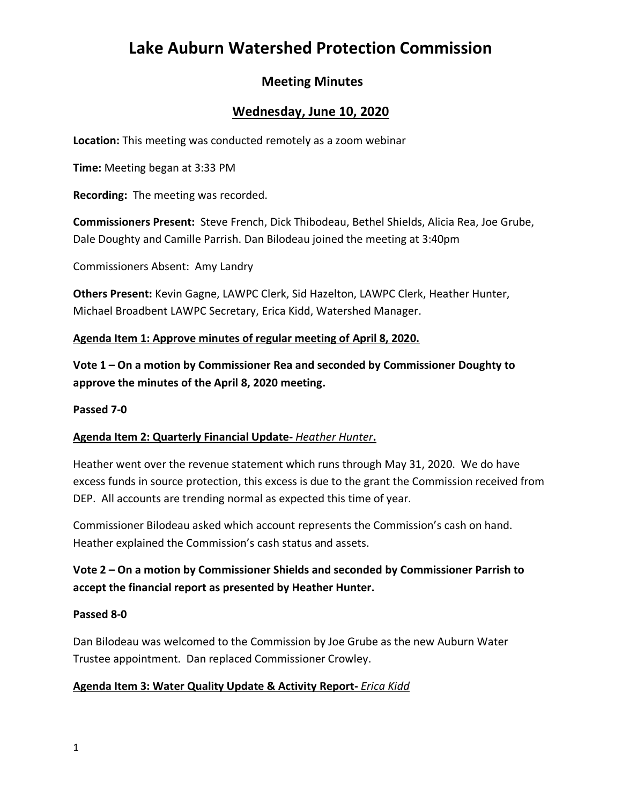# **Lake Auburn Watershed Protection Commission**

# **Meeting Minutes**

# **Wednesday, June 10, 2020**

**Location:** This meeting was conducted remotely as a zoom webinar

**Time:** Meeting began at 3:33 PM

**Recording:** The meeting was recorded.

**Commissioners Present:** Steve French, Dick Thibodeau, Bethel Shields, Alicia Rea, Joe Grube, Dale Doughty and Camille Parrish. Dan Bilodeau joined the meeting at 3:40pm

Commissioners Absent: Amy Landry

**Others Present:** Kevin Gagne, LAWPC Clerk, Sid Hazelton, LAWPC Clerk, Heather Hunter, Michael Broadbent LAWPC Secretary, Erica Kidd, Watershed Manager.

## **Agenda Item 1: Approve minutes of regular meeting of April 8, 2020.**

**Vote 1 – On a motion by Commissioner Rea and seconded by Commissioner Doughty to approve the minutes of the April 8, 2020 meeting.**

## **Passed 7-0**

## **Agenda Item 2: Quarterly Financial Update-** *Heather Hunter***.**

Heather went over the revenue statement which runs through May 31, 2020. We do have excess funds in source protection, this excess is due to the grant the Commission received from DEP. All accounts are trending normal as expected this time of year.

Commissioner Bilodeau asked which account represents the Commission's cash on hand. Heather explained the Commission's cash status and assets.

# **Vote 2 – On a motion by Commissioner Shields and seconded by Commissioner Parrish to accept the financial report as presented by Heather Hunter.**

## **Passed 8-0**

Dan Bilodeau was welcomed to the Commission by Joe Grube as the new Auburn Water Trustee appointment. Dan replaced Commissioner Crowley.

## **Agenda Item 3: Water Quality Update & Activity Report-** *Erica Kidd*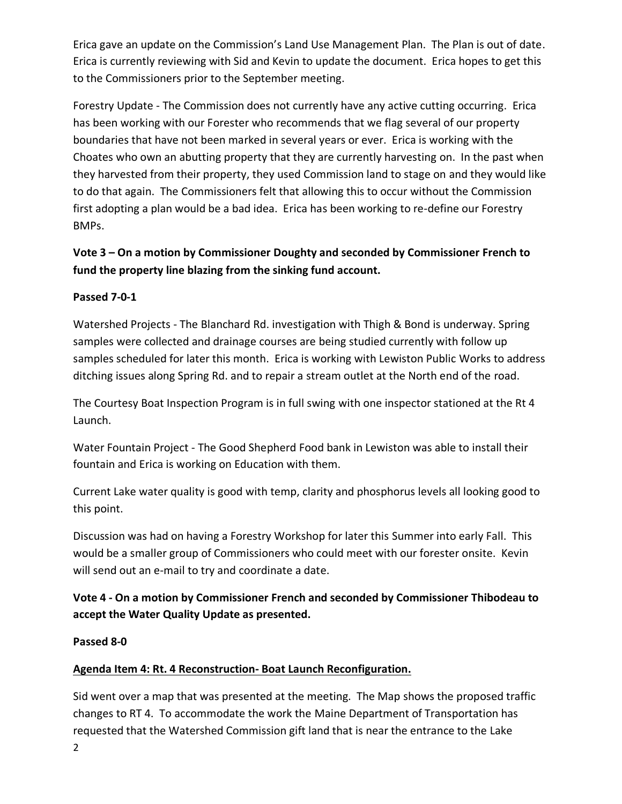Erica gave an update on the Commission's Land Use Management Plan. The Plan is out of date. Erica is currently reviewing with Sid and Kevin to update the document. Erica hopes to get this to the Commissioners prior to the September meeting.

Forestry Update - The Commission does not currently have any active cutting occurring. Erica has been working with our Forester who recommends that we flag several of our property boundaries that have not been marked in several years or ever. Erica is working with the Choates who own an abutting property that they are currently harvesting on. In the past when they harvested from their property, they used Commission land to stage on and they would like to do that again. The Commissioners felt that allowing this to occur without the Commission first adopting a plan would be a bad idea. Erica has been working to re-define our Forestry BMPs.

## **Vote 3 – On a motion by Commissioner Doughty and seconded by Commissioner French to fund the property line blazing from the sinking fund account.**

## **Passed 7-0-1**

Watershed Projects - The Blanchard Rd. investigation with Thigh & Bond is underway. Spring samples were collected and drainage courses are being studied currently with follow up samples scheduled for later this month. Erica is working with Lewiston Public Works to address ditching issues along Spring Rd. and to repair a stream outlet at the North end of the road.

The Courtesy Boat Inspection Program is in full swing with one inspector stationed at the Rt 4 Launch.

Water Fountain Project - The Good Shepherd Food bank in Lewiston was able to install their fountain and Erica is working on Education with them.

Current Lake water quality is good with temp, clarity and phosphorus levels all looking good to this point.

Discussion was had on having a Forestry Workshop for later this Summer into early Fall. This would be a smaller group of Commissioners who could meet with our forester onsite. Kevin will send out an e-mail to try and coordinate a date.

**Vote 4 - On a motion by Commissioner French and seconded by Commissioner Thibodeau to accept the Water Quality Update as presented.**

## **Passed 8-0**

## **Agenda Item 4: Rt. 4 Reconstruction- Boat Launch Reconfiguration.**

Sid went over a map that was presented at the meeting. The Map shows the proposed traffic changes to RT 4. To accommodate the work the Maine Department of Transportation has requested that the Watershed Commission gift land that is near the entrance to the Lake